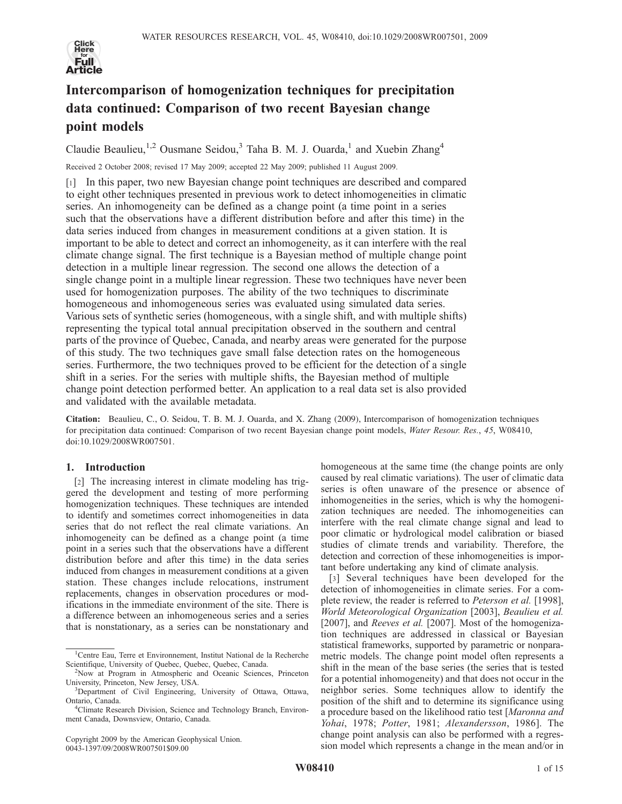

# Intercomparison of homogenization techniques for precipitation data continued: Comparison of two recent Bayesian change point models

Claudie Beaulieu,<sup>1,2</sup> Ousmane Seidou,<sup>3</sup> Taha B. M. J. Ouarda,<sup>1</sup> and Xuebin Zhang<sup>4</sup>

Received 2 October 2008; revised 17 May 2009; accepted 22 May 2009; published 11 August 2009.

[1] In this paper, two new Bayesian change point techniques are described and compared to eight other techniques presented in previous work to detect inhomogeneities in climatic series. An inhomogeneity can be defined as a change point (a time point in a series such that the observations have a different distribution before and after this time) in the data series induced from changes in measurement conditions at a given station. It is important to be able to detect and correct an inhomogeneity, as it can interfere with the real climate change signal. The first technique is a Bayesian method of multiple change point detection in a multiple linear regression. The second one allows the detection of a single change point in a multiple linear regression. These two techniques have never been used for homogenization purposes. The ability of the two techniques to discriminate homogeneous and inhomogeneous series was evaluated using simulated data series. Various sets of synthetic series (homogeneous, with a single shift, and with multiple shifts) representing the typical total annual precipitation observed in the southern and central parts of the province of Quebec, Canada, and nearby areas were generated for the purpose of this study. The two techniques gave small false detection rates on the homogeneous series. Furthermore, the two techniques proved to be efficient for the detection of a single shift in a series. For the series with multiple shifts, the Bayesian method of multiple change point detection performed better. An application to a real data set is also provided and validated with the available metadata.

Citation: Beaulieu, C., O. Seidou, T. B. M. J. Ouarda, and X. Zhang (2009), Intercomparison of homogenization techniques for precipitation data continued: Comparison of two recent Bayesian change point models, Water Resour. Res., 45, W08410, doi:10.1029/2008WR007501.

## 1. Introduction

[2] The increasing interest in climate modeling has triggered the development and testing of more performing homogenization techniques. These techniques are intended to identify and sometimes correct inhomogeneities in data series that do not reflect the real climate variations. An inhomogeneity can be defined as a change point (a time point in a series such that the observations have a different distribution before and after this time) in the data series induced from changes in measurement conditions at a given station. These changes include relocations, instrument replacements, changes in observation procedures or modifications in the immediate environment of the site. There is a difference between an inhomogeneous series and a series that is nonstationary, as a series can be nonstationary and

Copyright 2009 by the American Geophysical Union. 0043-1397/09/2008WR007501\$09.00

homogeneous at the same time (the change points are only caused by real climatic variations). The user of climatic data series is often unaware of the presence or absence of inhomogeneities in the series, which is why the homogenization techniques are needed. The inhomogeneities can interfere with the real climate change signal and lead to poor climatic or hydrological model calibration or biased studies of climate trends and variability. Therefore, the detection and correction of these inhomogeneities is important before undertaking any kind of climate analysis.

[3] Several techniques have been developed for the detection of inhomogeneities in climate series. For a complete review, the reader is referred to Peterson et al. [1998], World Meteorological Organization [2003], Beaulieu et al. [2007], and Reeves et al. [2007]. Most of the homogenization techniques are addressed in classical or Bayesian statistical frameworks, supported by parametric or nonparametric models. The change point model often represents a shift in the mean of the base series (the series that is tested for a potential inhomogeneity) and that does not occur in the neighbor series. Some techniques allow to identify the position of the shift and to determine its significance using a procedure based on the likelihood ratio test [Maronna and Yohai, 1978; Potter, 1981; Alexandersson, 1986]. The change point analysis can also be performed with a regression model which represents a change in the mean and/or in

<sup>1</sup> Centre Eau, Terre et Environnement, Institut National de la Recherche Scientifique, University of Quebec, Quebec, Quebec, Canada. <sup>2</sup>

<sup>&</sup>lt;sup>2</sup>Now at Program in Atmospheric and Oceanic Sciences, Princeton University, Princeton, New Jersey, USA. <sup>3</sup>

<sup>&</sup>lt;sup>3</sup>Department of Civil Engineering, University of Ottawa, Ottawa, Ontario, Canada. <sup>4</sup>

<sup>&</sup>lt;sup>4</sup>Climate Research Division, Science and Technology Branch, Environment Canada, Downsview, Ontario, Canada.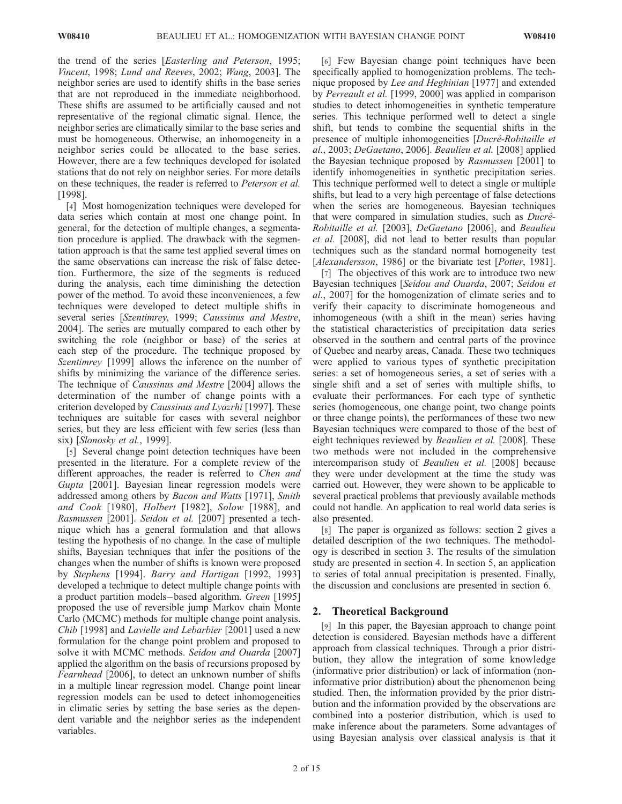the trend of the series [Easterling and Peterson, 1995; Vincent, 1998; Lund and Reeves, 2002; Wang, 2003]. The neighbor series are used to identify shifts in the base series that are not reproduced in the immediate neighborhood. These shifts are assumed to be artificially caused and not representative of the regional climatic signal. Hence, the neighbor series are climatically similar to the base series and must be homogeneous. Otherwise, an inhomogeneity in a neighbor series could be allocated to the base series. However, there are a few techniques developed for isolated stations that do not rely on neighbor series. For more details on these techniques, the reader is referred to Peterson et al. [1998].

[4] Most homogenization techniques were developed for data series which contain at most one change point. In general, for the detection of multiple changes, a segmentation procedure is applied. The drawback with the segmentation approach is that the same test applied several times on the same observations can increase the risk of false detection. Furthermore, the size of the segments is reduced during the analysis, each time diminishing the detection power of the method. To avoid these inconveniences, a few techniques were developed to detect multiple shifts in several series [Szentimrey, 1999; Caussinus and Mestre, 2004]. The series are mutually compared to each other by switching the role (neighbor or base) of the series at each step of the procedure. The technique proposed by Szentimrey [1999] allows the inference on the number of shifts by minimizing the variance of the difference series. The technique of Caussinus and Mestre [2004] allows the determination of the number of change points with a criterion developed by Caussinus and Lyazrhi [1997]. These techniques are suitable for cases with several neighbor series, but they are less efficient with few series (less than six) [Slonosky et al., 1999].

[5] Several change point detection techniques have been presented in the literature. For a complete review of the different approaches, the reader is referred to *Chen and* Gupta [2001]. Bayesian linear regression models were addressed among others by Bacon and Watts [1971], Smith and Cook [1980], Holbert [1982], Solow [1988], and Rasmussen [2001]. Seidou et al. [2007] presented a technique which has a general formulation and that allows testing the hypothesis of no change. In the case of multiple shifts, Bayesian techniques that infer the positions of the changes when the number of shifts is known were proposed by Stephens [1994]. Barry and Hartigan [1992, 1993] developed a technique to detect multiple change points with a product partition models – based algorithm. Green [1995] proposed the use of reversible jump Markov chain Monte Carlo (MCMC) methods for multiple change point analysis. Chib [1998] and Lavielle and Lebarbier [2001] used a new formulation for the change point problem and proposed to solve it with MCMC methods. Seidou and Ouarda [2007] applied the algorithm on the basis of recursions proposed by Fearnhead [2006], to detect an unknown number of shifts in a multiple linear regression model. Change point linear regression models can be used to detect inhomogeneities in climatic series by setting the base series as the dependent variable and the neighbor series as the independent variables.

[6] Few Bayesian change point techniques have been specifically applied to homogenization problems. The technique proposed by Lee and Heghinian [1977] and extended by Perreault et al. [1999, 2000] was applied in comparison studies to detect inhomogeneities in synthetic temperature series. This technique performed well to detect a single shift, but tends to combine the sequential shifts in the presence of multiple inhomogeneities [Ducré-Robitaille et al., 2003; DeGaetano, 2006]. Beaulieu et al. [2008] applied the Bayesian technique proposed by Rasmussen [2001] to identify inhomogeneities in synthetic precipitation series. This technique performed well to detect a single or multiple shifts, but lead to a very high percentage of false detections when the series are homogeneous. Bayesian techniques that were compared in simulation studies, such as *Ducré*-Robitaille et al. [2003], DeGaetano [2006], and Beaulieu et al. [2008], did not lead to better results than popular techniques such as the standard normal homogeneity test [Alexandersson, 1986] or the bivariate test [Potter, 1981].

[7] The objectives of this work are to introduce two new Bayesian techniques [Seidou and Ouarda, 2007; Seidou et al., 2007] for the homogenization of climate series and to verify their capacity to discriminate homogeneous and inhomogeneous (with a shift in the mean) series having the statistical characteristics of precipitation data series observed in the southern and central parts of the province of Quebec and nearby areas, Canada. These two techniques were applied to various types of synthetic precipitation series: a set of homogeneous series, a set of series with a single shift and a set of series with multiple shifts, to evaluate their performances. For each type of synthetic series (homogeneous, one change point, two change points or three change points), the performances of these two new Bayesian techniques were compared to those of the best of eight techniques reviewed by Beaulieu et al. [2008]. These two methods were not included in the comprehensive intercomparison study of Beaulieu et al. [2008] because they were under development at the time the study was carried out. However, they were shown to be applicable to several practical problems that previously available methods could not handle. An application to real world data series is also presented.

[8] The paper is organized as follows: section 2 gives a detailed description of the two techniques. The methodology is described in section 3. The results of the simulation study are presented in section 4. In section 5, an application to series of total annual precipitation is presented. Finally, the discussion and conclusions are presented in section 6.

# 2. Theoretical Background

[9] In this paper, the Bayesian approach to change point detection is considered. Bayesian methods have a different approach from classical techniques. Through a prior distribution, they allow the integration of some knowledge (informative prior distribution) or lack of information (noninformative prior distribution) about the phenomenon being studied. Then, the information provided by the prior distribution and the information provided by the observations are combined into a posterior distribution, which is used to make inference about the parameters. Some advantages of using Bayesian analysis over classical analysis is that it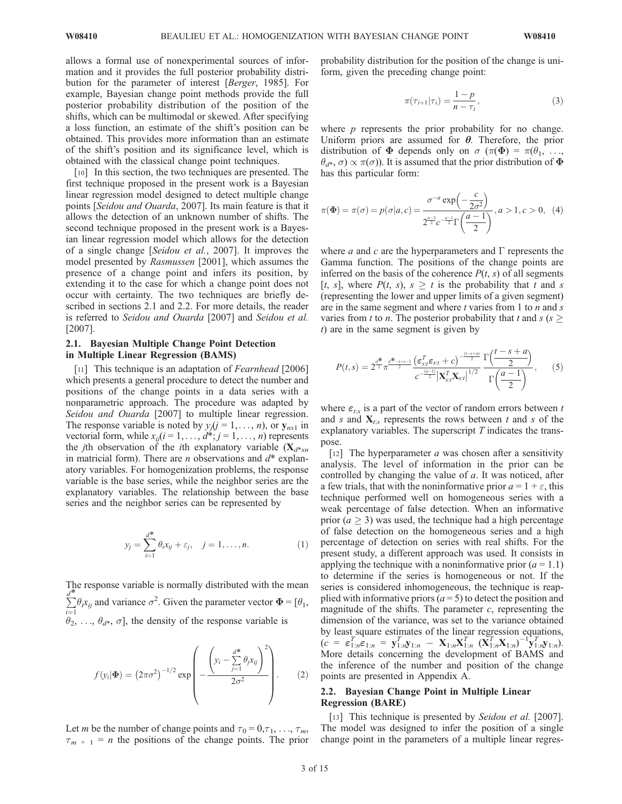allows a formal use of nonexperimental sources of information and it provides the full posterior probability distribution for the parameter of interest [Berger, 1985]. For example, Bayesian change point methods provide the full posterior probability distribution of the position of the shifts, which can be multimodal or skewed. After specifying a loss function, an estimate of the shift's position can be obtained. This provides more information than an estimate of the shift's position and its significance level, which is obtained with the classical change point techniques.

[10] In this section, the two techniques are presented. The first technique proposed in the present work is a Bayesian linear regression model designed to detect multiple change points [Seidou and Ouarda, 2007]. Its main feature is that it allows the detection of an unknown number of shifts. The second technique proposed in the present work is a Bayesian linear regression model which allows for the detection of a single change [Seidou et al., 2007]. It improves the model presented by Rasmussen [2001], which assumes the presence of a change point and infers its position, by extending it to the case for which a change point does not occur with certainty. The two techniques are briefly described in sections 2.1 and 2.2. For more details, the reader is referred to Seidou and Ouarda [2007] and Seidou et al. [2007].

## 2.1. Bayesian Multiple Change Point Detection in Multiple Linear Regression (BAMS)

[11] This technique is an adaptation of *Fearnhead* [2006] which presents a general procedure to detect the number and positions of the change points in a data series with a nonparametric approach. The procedure was adapted by Seidou and Ouarda [2007] to multiple linear regression. The response variable is noted by  $y_i(j = 1, \ldots, n)$ , or  $y_{nx1}$  in vectorial form, while  $x_{ij}$  ( $i = 1, \ldots, d^*$ ;  $j = 1, \ldots, n$ ) represents the *j*th observation of the *i*th explanatory variable  $(X_{d^*x^n})$ in matricial form). There are *n* observations and  $d^*$  explanatory variables. For homogenization problems, the response variable is the base series, while the neighbor series are the explanatory variables. The relationship between the base series and the neighbor series can be represented by

$$
y_j = \sum_{i=1}^{d^*} \theta_i x_{ij} + \varepsilon_j, \quad j = 1, \dots, n. \tag{1}
$$

The response variable is normally distributed with the mean  $\sum$  $\sum d_i x_{ij}$  and variance  $\sigma^2$ . Given the parameter vector  $\Phi = [\theta_1, \theta_2]$  $\hat{\theta}_2^{i=1}$ ,  $\theta_{d^*}, \sigma$ , the density of the response variable is

$$
f(y_i|\mathbf{\Phi}) = (2\pi\sigma^2)^{-1/2} \exp\left(-\frac{\left(y_i - \sum_{j=1}^{d^*} \theta_j x_{ij}\right)^2}{2\sigma^2}\right).
$$
 (2)

Let *m* be the number of change points and  $\tau_0 = 0, \tau_1, \ldots, \tau_m$ ,  $\tau_{m+1}$  = *n* the positions of the change points. The prior probability distribution for the position of the change is uniform, given the preceding change point:

$$
\pi(\tau_{i+1}|\tau_i) = \frac{1-p}{n-\tau_i},\tag{3}
$$

where  $p$  represents the prior probability for no change. Uniform priors are assumed for  $\theta$ . Therefore, the prior distribution of  $\Phi$  depends only on  $\sigma$  ( $\pi(\Phi) = \pi(\theta_1, \ldots, \theta_n)$  $\theta_{d^*}, \sigma \propto \pi(\sigma)$ ). It is assumed that the prior distribution of  $\Phi$ has this particular form:

$$
\pi(\Phi) = \pi(\sigma) = p(\sigma|a, c) = \frac{\sigma^{-a} \exp\left(-\frac{c}{2\sigma^2}\right)}{2^{\frac{a-3}{2}}c^{-\frac{a-1}{2}}\Gamma\left(\frac{a-1}{2}\right)}, a > 1, c > 0, (4)
$$

where *a* and *c* are the hyperparameters and  $\Gamma$  represents the Gamma function. The positions of the change points are inferred on the basis of the coherence  $P(t, s)$  of all segments [t, s], where  $P(t, s)$ ,  $s \geq t$  is the probability that t and s (representing the lower and upper limits of a given segment) are in the same segment and where  $t$  varies from 1 to  $n$  and  $s$ varies from t to n. The posterior probability that t and s ( $s \geq$ t) are in the same segment is given by

$$
P(t,s) = 2^{\frac{d^*}{2}} \pi^{\frac{d^* - t + s - 1}{2}} \frac{\left(\varepsilon_{s,t}^T \varepsilon_{s,t} + c\right)^{-\frac{(t-s+d)}{2}} \Gamma\left(\frac{t-s+a}{2}\right)}{c^{-\frac{(a-1)}{2}} \left|\mathbf{X}_{s,t}^T \mathbf{X}_{s,t}\right|^{1/2}} \frac{\Gamma\left(\frac{d-1}{2}\right)}{\Gamma\left(\frac{a-1}{2}\right)},\tag{5}
$$

where  $\varepsilon_{t:s}$  is a part of the vector of random errors between t and s and  $X_{t:s}$  represents the rows between t and s of the explanatory variables. The superscript  $T$  indicates the transpose.

[12] The hyperparameter  $a$  was chosen after a sensitivity analysis. The level of information in the prior can be controlled by changing the value of a. It was noticed, after a few trials, that with the noninformative prior  $a = 1 + \varepsilon$ , this technique performed well on homogeneous series with a weak percentage of false detection. When an informative prior ( $a \geq 3$ ) was used, the technique had a high percentage of false detection on the homogeneous series and a high percentage of detection on series with real shifts. For the present study, a different approach was used. It consists in applying the technique with a noninformative prior  $(a = 1.1)$ to determine if the series is homogeneous or not. If the series is considered inhomogeneous, the technique is reapplied with informative priors  $(a = 5)$  to detect the position and magnitude of the shifts. The parameter  $c$ , representing the dimension of the variance, was set to the variance obtained by least square estimates of the linear regression equations,  $(c = \varepsilon_{1:n}^T \varepsilon_{1:n} = \mathbf{y}_{1:n}^T \mathbf{y}_{1:n} - \mathbf{X}_{1:n} \mathbf{X}_{1:n}^T (\mathbf{X}_{1:n}^T \mathbf{X}_{1:n})^{-1} \mathbf{y}_{1:n}^T \mathbf{y}_{1:n}).$ More details concerning the development of BAMS and the inference of the number and position of the change points are presented in Appendix A.

## 2.2. Bayesian Change Point in Multiple Linear Regression (BARE)

[13] This technique is presented by Seidou et al. [2007]. The model was designed to infer the position of a single change point in the parameters of a multiple linear regres-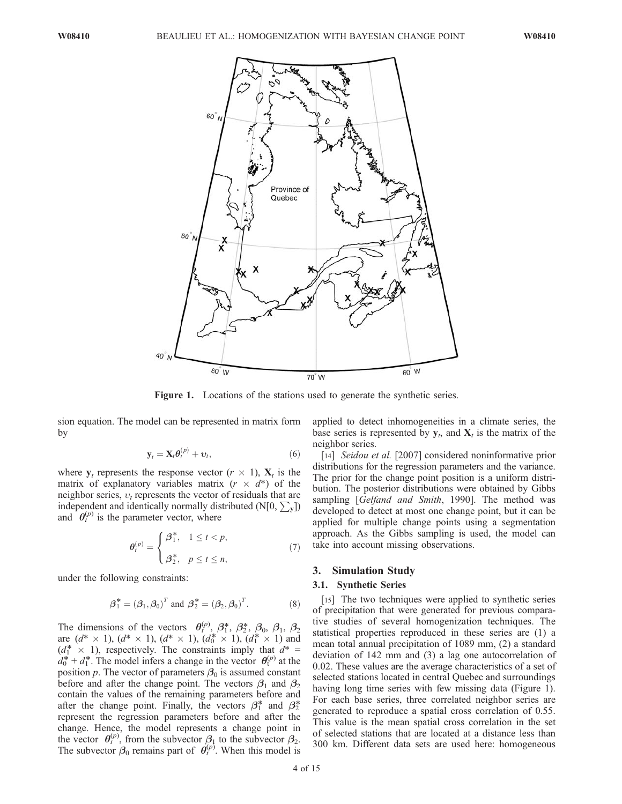

Figure 1. Locations of the stations used to generate the synthetic series.

sion equation. The model can be represented in matrix form by

$$
\mathbf{y}_t = \mathbf{X}_t \boldsymbol{\theta}_t^{(p)} + \boldsymbol{\upsilon}_t,\tag{6}
$$

where  $y_t$  represents the response vector  $(r \times 1)$ ,  $X_t$  is the matrix of explanatory variables matrix  $(r \times d^*)$  of the neighbor series,  $v_t$  represents the vector of residuals that are independent and identically normally distributed (N[0,  $\sum_{\mathbf{v}}$ ]) and  $\theta_t^{(p)}$  is the parameter vector, where

$$
\theta_t^{(p)} = \begin{cases} \beta_1^*, & 1 \le t < p, \\ \beta_2^*, & p \le t \le n, \end{cases}
$$
 (7)

under the following constraints:

$$
\boldsymbol{\beta}_1^* = (\boldsymbol{\beta}_1, \boldsymbol{\beta}_0)^T
$$
 and  $\boldsymbol{\beta}_2^* = (\boldsymbol{\beta}_2, \boldsymbol{\beta}_0)^T$ . (8)

The dimensions of the vectors  $\theta_t^{(p)}$ ,  $\beta_1^*,$   $\beta_2^*,$   $\beta_0$ ,  $\beta_1$ ,  $\beta_2$ are  $(d^* \times 1)$ ,  $(d^* \times 1)$ ,  $(d^* \times 1)$ ,  $(d_0^* \times 1)$ ,  $(d_1^* \times 1)$  and  $(d_1^* \times 1)$ , respectively. The constraints imply that  $d^* =$  $d_0^* + d_1^*$ . The model infers a change in the vector  $\theta_t^{(p)}$  at the position p. The vector of parameters  $\beta_0$  is assumed constant before and after the change point. The vectors  $\beta_1$  and  $\beta_2$ contain the values of the remaining parameters before and after the change point. Finally, the vectors  $\beta_1^*$  and  $\beta_2^*$ represent the regression parameters before and after the change. Hence, the model represents a change point in the vector  $\theta_t^{(p)}$ , from the subvector  $\beta_1$  to the subvector  $\beta_2$ . The subvector  $\beta_0$  remains part of  $\theta_t^{(p)}$ . When this model is

applied to detect inhomogeneities in a climate series, the base series is represented by  $y_t$ , and  $X_t$  is the matrix of the neighbor series.

[14] *Seidou et al.* [2007] considered noninformative prior distributions for the regression parameters and the variance. The prior for the change point position is a uniform distribution. The posterior distributions were obtained by Gibbs sampling [Gelfand and Smith, 1990]. The method was developed to detect at most one change point, but it can be applied for multiple change points using a segmentation approach. As the Gibbs sampling is used, the model can take into account missing observations.

## 3. Simulation Study

#### 3.1. Synthetic Series

[15] The two techniques were applied to synthetic series of precipitation that were generated for previous comparative studies of several homogenization techniques. The statistical properties reproduced in these series are (1) a mean total annual precipitation of 1089 mm, (2) a standard deviation of 142 mm and (3) a lag one autocorrelation of 0.02. These values are the average characteristics of a set of selected stations located in central Quebec and surroundings having long time series with few missing data (Figure 1). For each base series, three correlated neighbor series are generated to reproduce a spatial cross correlation of 0.55. This value is the mean spatial cross correlation in the set of selected stations that are located at a distance less than 300 km. Different data sets are used here: homogeneous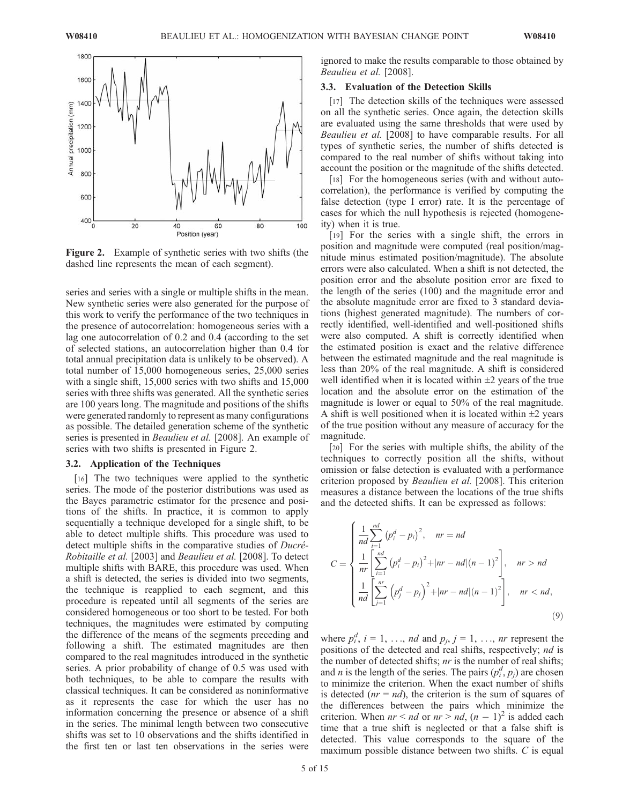

Figure 2. Example of synthetic series with two shifts (the dashed line represents the mean of each segment).

series and series with a single or multiple shifts in the mean. New synthetic series were also generated for the purpose of this work to verify the performance of the two techniques in the presence of autocorrelation: homogeneous series with a lag one autocorrelation of 0.2 and 0.4 (according to the set of selected stations, an autocorrelation higher than 0.4 for total annual precipitation data is unlikely to be observed). A total number of 15,000 homogeneous series, 25,000 series with a single shift, 15,000 series with two shifts and 15,000 series with three shifts was generated. All the synthetic series are 100 years long. The magnitude and positions of the shifts were generated randomly to represent as many configurations as possible. The detailed generation scheme of the synthetic series is presented in *Beaulieu et al.* [2008]. An example of series with two shifts is presented in Figure 2.

### 3.2. Application of the Techniques

[16] The two techniques were applied to the synthetic series. The mode of the posterior distributions was used as the Bayes parametric estimator for the presence and positions of the shifts. In practice, it is common to apply sequentially a technique developed for a single shift, to be able to detect multiple shifts. This procedure was used to detect multiple shifts in the comparative studies of  $D^{\text{ucr\'e}}$ -Robitaille et al. [2003] and Beaulieu et al. [2008]. To detect multiple shifts with BARE, this procedure was used. When a shift is detected, the series is divided into two segments, the technique is reapplied to each segment, and this procedure is repeated until all segments of the series are considered homogeneous or too short to be tested. For both techniques, the magnitudes were estimated by computing the difference of the means of the segments preceding and following a shift. The estimated magnitudes are then compared to the real magnitudes introduced in the synthetic series. A prior probability of change of 0.5 was used with both techniques, to be able to compare the results with classical techniques. It can be considered as noninformative as it represents the case for which the user has no information concerning the presence or absence of a shift in the series. The minimal length between two consecutive shifts was set to 10 observations and the shifts identified in the first ten or last ten observations in the series were

ignored to make the results comparable to those obtained by Beaulieu et al. [2008].

#### 3.3. Evaluation of the Detection Skills

[17] The detection skills of the techniques were assessed on all the synthetic series. Once again, the detection skills are evaluated using the same thresholds that were used by Beaulieu et al. [2008] to have comparable results. For all types of synthetic series, the number of shifts detected is compared to the real number of shifts without taking into account the position or the magnitude of the shifts detected.

[18] For the homogeneous series (with and without autocorrelation), the performance is verified by computing the false detection (type I error) rate. It is the percentage of cases for which the null hypothesis is rejected (homogeneity) when it is true.

[19] For the series with a single shift, the errors in position and magnitude were computed (real position/magnitude minus estimated position/magnitude). The absolute errors were also calculated. When a shift is not detected, the position error and the absolute position error are fixed to the length of the series (100) and the magnitude error and the absolute magnitude error are fixed to 3 standard deviations (highest generated magnitude). The numbers of correctly identified, well-identified and well-positioned shifts were also computed. A shift is correctly identified when the estimated position is exact and the relative difference between the estimated magnitude and the real magnitude is less than 20% of the real magnitude. A shift is considered well identified when it is located within  $\pm 2$  years of the true location and the absolute error on the estimation of the magnitude is lower or equal to 50% of the real magnitude. A shift is well positioned when it is located within  $\pm 2$  years of the true position without any measure of accuracy for the magnitude.

[20] For the series with multiple shifts, the ability of the techniques to correctly position all the shifts, without omission or false detection is evaluated with a performance criterion proposed by Beaulieu et al. [2008]. This criterion measures a distance between the locations of the true shifts and the detected shifts. It can be expressed as follows:

$$
C = \begin{cases} \frac{1}{nd} \sum_{i=1}^{nd} (p_i^d - p_i)^2, & nr = nd \\ \frac{1}{nr} \left[ \sum_{i=1}^{nd} (p_i^d - p_i)^2 + |nr - nd|(n-1)^2 \right], & nr > nd \end{cases}
$$
  

$$
\frac{1}{nd} \left[ \sum_{j=1}^{nr} (p_j^d - p_j)^2 + |nr - nd|(n-1)^2 \right], \quad nr < nd,
$$
  
(9)

where  $p_i^d$ ,  $i = 1, \ldots, nd$  and  $p_j$ ,  $j = 1, \ldots, nr$  represent the positions of the detected and real shifts, respectively; nd is the number of detected shifts;  $nr$  is the number of real shifts; and *n* is the length of the series. The pairs  $(p_i^d, p_j)$  are chosen to minimize the criterion. When the exact number of shifts is detected  $(nr = nd)$ , the criterion is the sum of squares of the differences between the pairs which minimize the criterion. When  $nr < nd$  or  $nr > nd$ ,  $(n - 1)^2$  is added each time that a true shift is neglected or that a false shift is detected. This value corresponds to the square of the maximum possible distance between two shifts. C is equal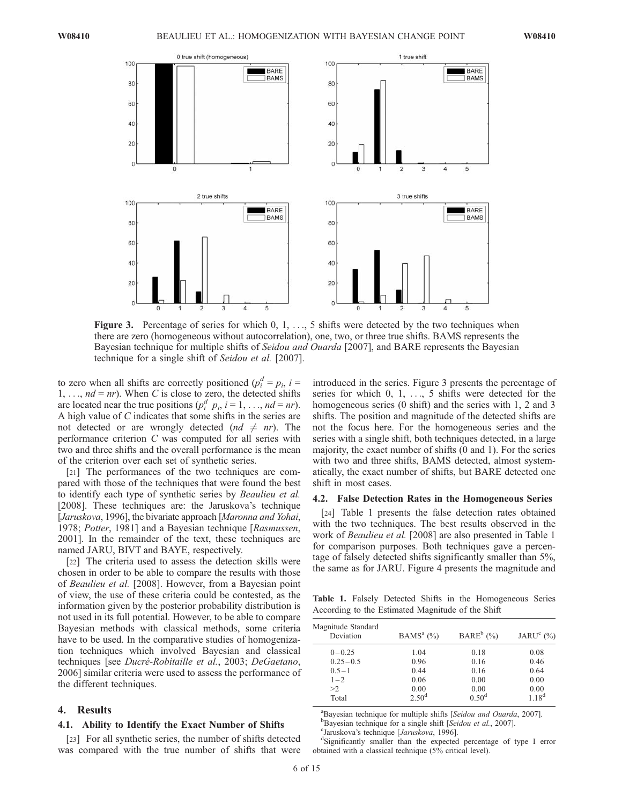

**Figure 3.** Percentage of series for which  $0, 1, \ldots, 5$  shifts were detected by the two techniques when there are zero (homogeneous without autocorrelation), one, two, or three true shifts. BAMS represents the Bayesian technique for multiple shifts of Seidou and Ouarda [2007], and BARE represents the Bayesian technique for a single shift of Seidou et al. [2007].

to zero when all shifts are correctly positioned  $(p_i^d = p_i, i =$  $1, \ldots, nd = nr$ ). When C is close to zero, the detected shifts are located near the true positions  $(p_i^d \ p_i, i = 1, \dots, nd = nr)$ . A high value of C indicates that some shifts in the series are not detected or are wrongly detected  $(nd \neq nr)$ . The performance criterion C was computed for all series with two and three shifts and the overall performance is the mean of the criterion over each set of synthetic series.

[21] The performances of the two techniques are compared with those of the techniques that were found the best to identify each type of synthetic series by Beaulieu et al. [2008]. These techniques are: the Jaruskova's technique [Jaruskova, 1996], the bivariate approach [Maronna and Yohai, 1978; Potter, 1981] and a Bayesian technique [Rasmussen, 2001]. In the remainder of the text, these techniques are named JARU, BIVT and BAYE, respectively.

[22] The criteria used to assess the detection skills were chosen in order to be able to compare the results with those of Beaulieu et al. [2008]. However, from a Bayesian point of view, the use of these criteria could be contested, as the information given by the posterior probability distribution is not used in its full potential. However, to be able to compare Bayesian methods with classical methods, some criteria have to be used. In the comparative studies of homogenization techniques which involved Bayesian and classical techniques [see *Ducré-Robitaille et al.*, 2003; DeGaetano, 2006] similar criteria were used to assess the performance of the different techniques.

#### 4. Results

#### 4.1. Ability to Identify the Exact Number of Shifts

[23] For all synthetic series, the number of shifts detected was compared with the true number of shifts that were

introduced in the series. Figure 3 presents the percentage of series for which 0, 1, ..., 5 shifts were detected for the homogeneous series (0 shift) and the series with 1, 2 and 3 shifts. The position and magnitude of the detected shifts are not the focus here. For the homogeneous series and the series with a single shift, both techniques detected, in a large majority, the exact number of shifts (0 and 1). For the series with two and three shifts, BAMS detected, almost systematically, the exact number of shifts, but BARE detected one shift in most cases.

#### 4.2. False Detection Rates in the Homogeneous Series

[24] Table 1 presents the false detection rates obtained with the two techniques. The best results observed in the work of *Beaulieu et al.* [2008] are also presented in Table 1 for comparison purposes. Both techniques gave a percentage of falsely detected shifts significantly smaller than 5%, the same as for JARU. Figure 4 presents the magnitude and

Table 1. Falsely Detected Shifts in the Homogeneous Series According to the Estimated Magnitude of the Shift

| Magnitude Standard<br>Deviation | BAMS <sup>a</sup> $(\%)$ | BARE <sup>b</sup> $(\% )$ | JARU $^{\circ}$ (%) |  |
|---------------------------------|--------------------------|---------------------------|---------------------|--|
| $0 - 0.25$                      | 1.04                     | 0.18                      | 0.08                |  |
| $0.25 - 0.5$                    | 0.96                     | 0.16                      | 0.46                |  |
| $0.5 - 1$                       | 0.44                     | 0.16                      | 0.64                |  |
| $1 - 2$                         | 0.06                     | 0.00                      | 0.00                |  |
| >2                              | 0.00                     | 0.00                      | 0.00                |  |
| Total                           | $2.50^{\rm d}$           | $0.50^{\rm d}$            | 1.18 <sup>d</sup>   |  |
|                                 |                          |                           |                     |  |

<sup>a</sup>Bayesian technique for multiple shifts [Seidou and Ouarda, 2007].  $B$ Bayesian technique for a single shift [Seidou et al., 2007]. <sup>c</sup>Jaruskova's technique [*Jaruskova*, 1996].

Significantly smaller than the expected percentage of type I error obtained with a classical technique (5% critical level).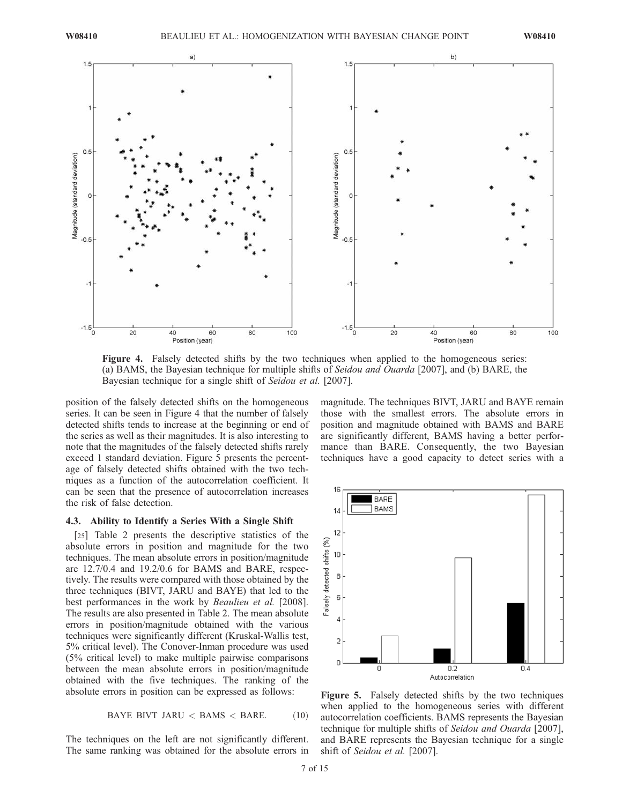

Figure 4. Falsely detected shifts by the two techniques when applied to the homogeneous series: (a) BAMS, the Bayesian technique for multiple shifts of Seidou and Ouarda [2007], and (b) BARE, the Bayesian technique for a single shift of Seidou et al. [2007].

position of the falsely detected shifts on the homogeneous series. It can be seen in Figure 4 that the number of falsely detected shifts tends to increase at the beginning or end of the series as well as their magnitudes. It is also interesting to note that the magnitudes of the falsely detected shifts rarely exceed 1 standard deviation. Figure 5 presents the percentage of falsely detected shifts obtained with the two techniques as a function of the autocorrelation coefficient. It can be seen that the presence of autocorrelation increases the risk of false detection.

#### 4.3. Ability to Identify a Series With a Single Shift

[25] Table 2 presents the descriptive statistics of the absolute errors in position and magnitude for the two techniques. The mean absolute errors in position/magnitude are 12.7/0.4 and 19.2/0.6 for BAMS and BARE, respectively. The results were compared with those obtained by the three techniques (BIVT, JARU and BAYE) that led to the best performances in the work by *Beaulieu et al.* [2008]. The results are also presented in Table 2. The mean absolute errors in position/magnitude obtained with the various techniques were significantly different (Kruskal-Wallis test, 5% critical level). The Conover-Inman procedure was used (5% critical level) to make multiple pairwise comparisons between the mean absolute errors in position/magnitude obtained with the five techniques. The ranking of the absolute errors in position can be expressed as follows:

$$
BAYE BIVT JARU < BAMS < BARE. \tag{10}
$$

The techniques on the left are not significantly different. The same ranking was obtained for the absolute errors in magnitude. The techniques BIVT, JARU and BAYE remain those with the smallest errors. The absolute errors in position and magnitude obtained with BAMS and BARE are significantly different, BAMS having a better performance than BARE. Consequently, the two Bayesian techniques have a good capacity to detect series with a



Figure 5. Falsely detected shifts by the two techniques when applied to the homogeneous series with different autocorrelation coefficients. BAMS represents the Bayesian technique for multiple shifts of Seidou and Ouarda [2007], and BARE represents the Bayesian technique for a single shift of Seidou et al. [2007].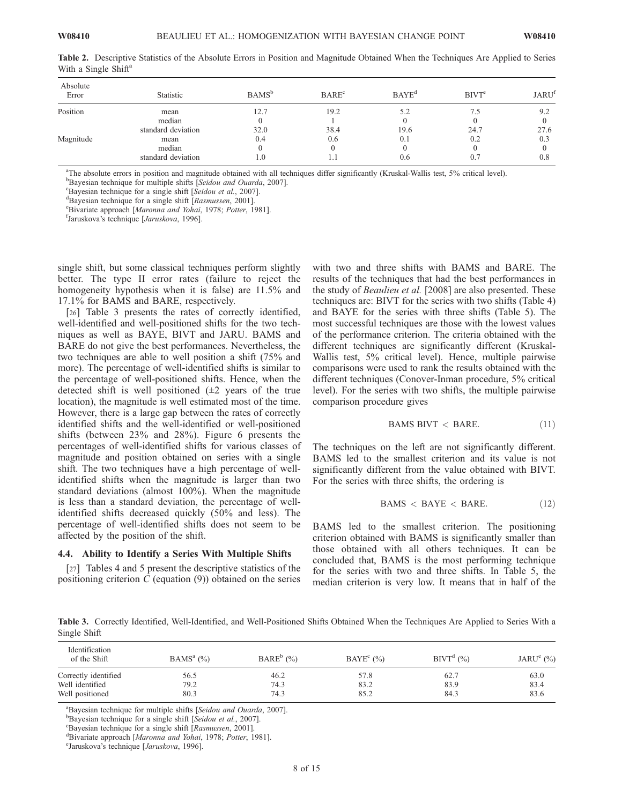| Absolute<br>Error | Statistic          | <b>BAMS</b> <sup>b</sup> | BARE <sup>c</sup> | $BAYE^d$ | BIVT <sup>e</sup> | <b>JARU</b> <sup>f</sup> |
|-------------------|--------------------|--------------------------|-------------------|----------|-------------------|--------------------------|
| Position          | mean               | 12.7                     | 19.2              | 5.2      |                   | 9.2                      |
|                   | median             | $\left($                 |                   | $\theta$ |                   |                          |
|                   | standard deviation | 32.0                     | 38.4              | 19.6     | 24.7              | 27.6                     |
| Magnitude         | mean               | 0.4                      | 0.6               | 0.1      | 0.2               | 0.3                      |
|                   | median             | 0                        |                   | $\theta$ |                   |                          |
|                   | standard deviation | 1.0                      |                   | 0.6      | 0.7               | 0.8                      |

Table 2. Descriptive Statistics of the Absolute Errors in Position and Magnitude Obtained When the Techniques Are Applied to Series With a Single Shift<sup>a</sup>

a The absolute errors in position and magnitude obtained with all techniques differ significantly (Kruskal-Wallis test, 5% critical level).

 $b$ Bayesian technique for multiple shifts [Seidou and Ouarda, 2007].

 ${}^{\rm c}$ Bayesian technique for a single shift [Seidou et al., 2007].

 ${}^{d}$ Bayesian technique for a single shift [Rasmussen, 2001].

<sup>e</sup>Bivariate approach [Maronna and Yohai, 1978; Potter, 1981].

<sup>f</sup>Jaruskova's technique [*Jaruskova*, 1996].

single shift, but some classical techniques perform slightly better. The type II error rates (failure to reject the homogeneity hypothesis when it is false) are 11.5% and 17.1% for BAMS and BARE, respectively.

[26] Table 3 presents the rates of correctly identified, well-identified and well-positioned shifts for the two techniques as well as BAYE, BIVT and JARU. BAMS and BARE do not give the best performances. Nevertheless, the two techniques are able to well position a shift (75% and more). The percentage of well-identified shifts is similar to the percentage of well-positioned shifts. Hence, when the detected shift is well positioned  $(\pm 2)$  years of the true location), the magnitude is well estimated most of the time. However, there is a large gap between the rates of correctly identified shifts and the well-identified or well-positioned shifts (between 23% and 28%). Figure 6 presents the percentages of well-identified shifts for various classes of magnitude and position obtained on series with a single shift. The two techniques have a high percentage of wellidentified shifts when the magnitude is larger than two standard deviations (almost 100%). When the magnitude is less than a standard deviation, the percentage of wellidentified shifts decreased quickly (50% and less). The percentage of well-identified shifts does not seem to be affected by the position of the shift.

#### 4.4. Ability to Identify a Series With Multiple Shifts

[27] Tables 4 and 5 present the descriptive statistics of the positioning criterion  $C$  (equation  $(9)$ ) obtained on the series

with two and three shifts with BAMS and BARE. The results of the techniques that had the best performances in the study of Beaulieu et al. [2008] are also presented. These techniques are: BIVT for the series with two shifts (Table 4) and BAYE for the series with three shifts (Table 5). The most successful techniques are those with the lowest values of the performance criterion. The criteria obtained with the different techniques are significantly different (Kruskal-Wallis test, 5% critical level). Hence, multiple pairwise comparisons were used to rank the results obtained with the different techniques (Conover-Inman procedure, 5% critical level). For the series with two shifts, the multiple pairwise comparison procedure gives

$$
BAMS BIVT < BARE. \tag{11}
$$

The techniques on the left are not significantly different. BAMS led to the smallest criterion and its value is not significantly different from the value obtained with BIVT. For the series with three shifts, the ordering is

$$
BAMS < BAYE < BARE. \tag{12}
$$

BAMS led to the smallest criterion. The positioning criterion obtained with BAMS is significantly smaller than those obtained with all others techniques. It can be concluded that, BAMS is the most performing technique for the series with two and three shifts. In Table 5, the median criterion is very low. It means that in half of the

Table 3. Correctly Identified, Well-Identified, and Well-Positioned Shifts Obtained When the Techniques Are Applied to Series With a Single Shift

| <b>Identification</b><br>of the Shift | $BAMS^a$ (%) | $BARE^b$ (%) | BAYE <sup>c</sup> $(\% )$ | $BIVTd$ (%) | JARU $^{\circ}$ (%) |
|---------------------------------------|--------------|--------------|---------------------------|-------------|---------------------|
| Correctly identified                  | 56.5         | 46.2         | 57.8                      | 62.7        | 63.0                |
| Well identified                       | 79.2         | 74.3         | 83.2                      | 83.9        | 83.4                |
| Well positioned                       | 80.3         | 74.3         | 85.2                      | 84.3        | 83.6                |

<sup>a</sup>Bayesian technique for multiple shifts [Seidou and Ouarda, 2007].

 $b$ Bayesian technique for a single shift [Seidou et al., 2007].

<sup>c</sup>Bayesian technique for a single shift [Rasmussen, 2001].

<sup>d</sup>Bivariate approach [Maronna and Yohai, 1978; Potter, 1981].

<sup>e</sup>Jaruskova's technique [Jaruskova, 1996].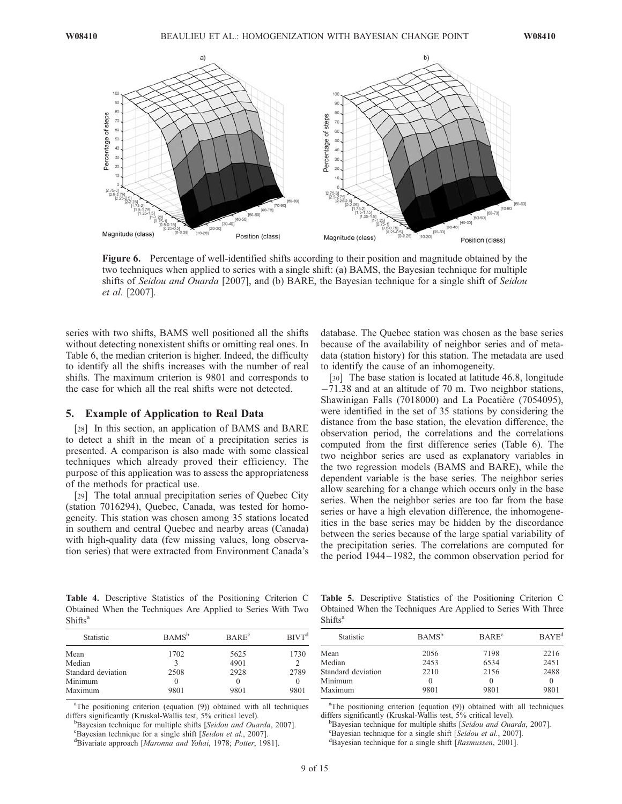

Figure 6. Percentage of well-identified shifts according to their position and magnitude obtained by the two techniques when applied to series with a single shift: (a) BAMS, the Bayesian technique for multiple shifts of Seidou and Ouarda [2007], and (b) BARE, the Bayesian technique for a single shift of Seidou et al. [2007].

series with two shifts, BAMS well positioned all the shifts without detecting nonexistent shifts or omitting real ones. In Table 6, the median criterion is higher. Indeed, the difficulty to identify all the shifts increases with the number of real shifts. The maximum criterion is 9801 and corresponds to the case for which all the real shifts were not detected.

#### 5. Example of Application to Real Data

[28] In this section, an application of BAMS and BARE to detect a shift in the mean of a precipitation series is presented. A comparison is also made with some classical techniques which already proved their efficiency. The purpose of this application was to assess the appropriateness of the methods for practical use.

[29] The total annual precipitation series of Quebec City (station 7016294), Quebec, Canada, was tested for homogeneity. This station was chosen among 35 stations located in southern and central Quebec and nearby areas (Canada) with high-quality data (few missing values, long observation series) that were extracted from Environment Canada's database. The Quebec station was chosen as the base series because of the availability of neighbor series and of metadata (station history) for this station. The metadata are used to identify the cause of an inhomogeneity.

[30] The base station is located at latitude 46.8, longitude  $-71.38$  and at an altitude of 70 m. Two neighbor stations, Shawinigan Falls (7018000) and La Pocatière (7054095), were identified in the set of 35 stations by considering the distance from the base station, the elevation difference, the observation period, the correlations and the correlations computed from the first difference series (Table 6). The two neighbor series are used as explanatory variables in the two regression models (BAMS and BARE), while the dependent variable is the base series. The neighbor series allow searching for a change which occurs only in the base series. When the neighbor series are too far from the base series or have a high elevation difference, the inhomogeneities in the base series may be hidden by the discordance between the series because of the large spatial variability of the precipitation series. The correlations are computed for the period 1944 – 1982, the common observation period for

Table 4. Descriptive Statistics of the Positioning Criterion C Obtained When the Techniques Are Applied to Series With Two Shifts<sup>a</sup>

| Statistic          | BAMS <sup>b</sup> | BARE <sup>c</sup> | BIVT <sup>d</sup> |
|--------------------|-------------------|-------------------|-------------------|
| Mean               | 1702              | 5625              | 1730              |
| Median             |                   | 4901              |                   |
| Standard deviation | 2508              | 2928              | 2789              |
| Minimum            |                   | $\theta$          |                   |
| Maximum            | 9801              | 9801              | 9801              |

<sup>a</sup>The positioning criterion (equation (9)) obtained with all techniques differs significantly (Kruskal-Wallis test, 5% critical level).

<sup>b</sup>Bayesian technique for multiple shifts [Seidou and Ouarda, 2007].

Eayesian technique for a single shift [Seidou et al., 2007].

<sup>d</sup>Bivariate approach [Maronna and Yohai, 1978; Potter, 1981].

Table 5. Descriptive Statistics of the Positioning Criterion C Obtained When the Techniques Are Applied to Series With Three  $Shifts<sup>a</sup>$ 

| Statistic          | BAMS <sup>b</sup> | BARE <sup>c</sup> | $BAYE^d$ |
|--------------------|-------------------|-------------------|----------|
| Mean               | 2056              | 7198              | 2216     |
| Median             | 2453              | 6534              | 2451     |
| Standard deviation | 2210              | 2156              | 2488     |
| Minimum            |                   | $\theta$          |          |
| Maximum            | 9801              | 9801              | 9801     |
|                    |                   |                   |          |

<sup>a</sup>The positioning criterion (equation (9)) obtained with all techniques differs significantly (Kruskal-Wallis test, 5% critical level).

 $B$ Bayesian technique for multiple shifts [Seidou and Ouarda, 2007].  ${}^{\rm c}$ Bayesian technique for a single shift [Seidou et al., 2007].

<sup>d</sup>Bayesian technique for a single shift [Rasmussen, 2001].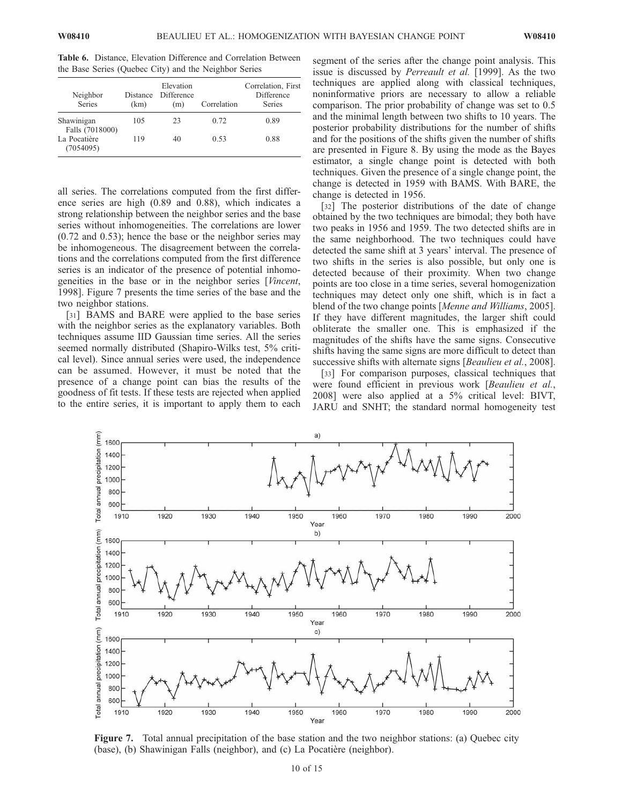Table 6. Distance, Elevation Difference and Correlation Between the Base Series (Quebec City) and the Neighbor Series

| Neighbor<br><b>Series</b>     | <b>Distance</b><br>(km) | Elevation<br>Difference<br>(m) | Correlation | Correlation, First<br>Difference<br>Series |
|-------------------------------|-------------------------|--------------------------------|-------------|--------------------------------------------|
| Shawinigan<br>Falls (7018000) | 105                     | 23                             | 0.72        | 0.89                                       |
| La Pocatière<br>(7054095)     | 119                     | 40                             | 0.53        | 0.88                                       |

all series. The correlations computed from the first difference series are high (0.89 and 0.88), which indicates a strong relationship between the neighbor series and the base series without inhomogeneities. The correlations are lower (0.72 and 0.53); hence the base or the neighbor series may be inhomogeneous. The disagreement between the correlations and the correlations computed from the first difference series is an indicator of the presence of potential inhomogeneities in the base or in the neighbor series [Vincent, 1998]. Figure 7 presents the time series of the base and the two neighbor stations.

[31] BAMS and BARE were applied to the base series with the neighbor series as the explanatory variables. Both techniques assume IID Gaussian time series. All the series seemed normally distributed (Shapiro-Wilks test, 5% critical level). Since annual series were used, the independence can be assumed. However, it must be noted that the presence of a change point can bias the results of the goodness of fit tests. If these tests are rejected when applied to the entire series, it is important to apply them to each

segment of the series after the change point analysis. This issue is discussed by *Perreault et al.* [1999]. As the two techniques are applied along with classical techniques, noninformative priors are necessary to allow a reliable comparison. The prior probability of change was set to 0.5 and the minimal length between two shifts to 10 years. The posterior probability distributions for the number of shifts and for the positions of the shifts given the number of shifts are presented in Figure 8. By using the mode as the Bayes estimator, a single change point is detected with both techniques. Given the presence of a single change point, the change is detected in 1959 with BAMS. With BARE, the change is detected in 1956.

[32] The posterior distributions of the date of change obtained by the two techniques are bimodal; they both have two peaks in 1956 and 1959. The two detected shifts are in the same neighborhood. The two techniques could have detected the same shift at 3 years' interval. The presence of two shifts in the series is also possible, but only one is detected because of their proximity. When two change points are too close in a time series, several homogenization techniques may detect only one shift, which is in fact a blend of the two change points [Menne and Williams, 2005]. If they have different magnitudes, the larger shift could obliterate the smaller one. This is emphasized if the magnitudes of the shifts have the same signs. Consecutive shifts having the same signs are more difficult to detect than successive shifts with alternate signs [Beaulieu et al., 2008].

[33] For comparison purposes, classical techniques that were found efficient in previous work [Beaulieu et al., 2008] were also applied at a 5% critical level: BIVT, JARU and SNHT; the standard normal homogeneity test



Figure 7. Total annual precipitation of the base station and the two neighbor stations: (a) Quebec city (base), (b) Shawinigan Falls (neighbor), and (c) La Pocatière (neighbor).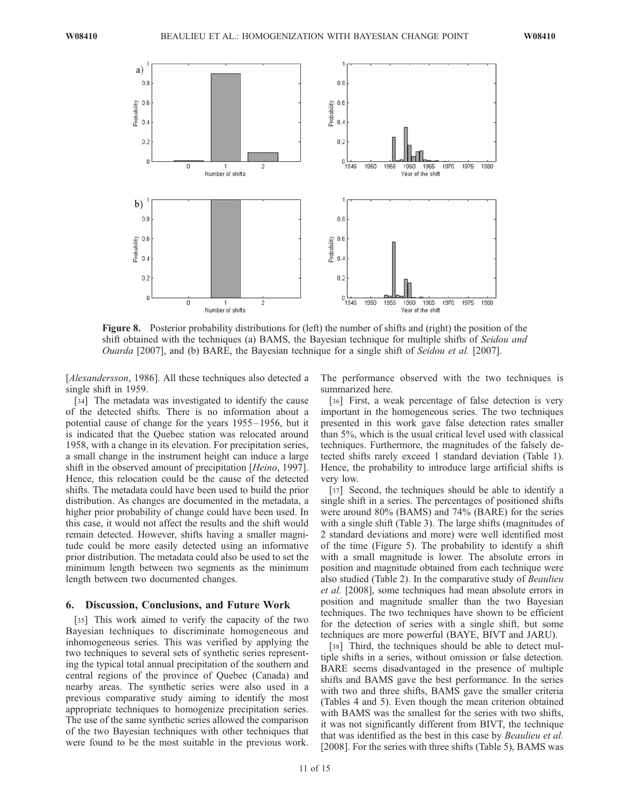

Figure 8. Posterior probability distributions for (left) the number of shifts and (right) the position of the shift obtained with the techniques (a) BAMS, the Bayesian technique for multiple shifts of Seidou and Ouarda [2007], and (b) BARE, the Bayesian technique for a single shift of Seidou et al. [2007].

[Alexandersson, 1986]. All these techniques also detected a single shift in 1959.

[34] The metadata was investigated to identify the cause of the detected shifts. There is no information about a potential cause of change for the years 1955 – 1956, but it is indicated that the Quebec station was relocated around 1958, with a change in its elevation. For precipitation series, a small change in the instrument height can induce a large shift in the observed amount of precipitation [Heino, 1997]. Hence, this relocation could be the cause of the detected shifts. The metadata could have been used to build the prior distribution. As changes are documented in the metadata, a higher prior probability of change could have been used. In this case, it would not affect the results and the shift would remain detected. However, shifts having a smaller magnitude could be more easily detected using an informative prior distribution. The metadata could also be used to set the minimum length between two segments as the minimum length between two documented changes.

#### 6. Discussion, Conclusions, and Future Work

[35] This work aimed to verify the capacity of the two Bayesian techniques to discriminate homogeneous and inhomogeneous series. This was verified by applying the two techniques to several sets of synthetic series representing the typical total annual precipitation of the southern and central regions of the province of Quebec (Canada) and nearby areas. The synthetic series were also used in a previous comparative study aiming to identify the most appropriate techniques to homogenize precipitation series. The use of the same synthetic series allowed the comparison of the two Bayesian techniques with other techniques that were found to be the most suitable in the previous work.

The performance observed with the two techniques is summarized here.

[36] First, a weak percentage of false detection is very important in the homogeneous series. The two techniques presented in this work gave false detection rates smaller than 5%, which is the usual critical level used with classical techniques. Furthermore, the magnitudes of the falsely detected shifts rarely exceed 1 standard deviation (Table 1). Hence, the probability to introduce large artificial shifts is very low.

[37] Second, the techniques should be able to identify a single shift in a series. The percentages of positioned shifts were around 80% (BAMS) and 74% (BARE) for the series with a single shift (Table 3). The large shifts (magnitudes of 2 standard deviations and more) were well identified most of the time (Figure 5). The probability to identify a shift with a small magnitude is lower. The absolute errors in position and magnitude obtained from each technique were also studied (Table 2). In the comparative study of Beaulieu et al. [2008], some techniques had mean absolute errors in position and magnitude smaller than the two Bayesian techniques. The two techniques have shown to be efficient for the detection of series with a single shift, but some techniques are more powerful (BAYE, BIVT and JARU).

[38] Third, the techniques should be able to detect multiple shifts in a series, without omission or false detection. BARE seems disadvantaged in the presence of multiple shifts and BAMS gave the best performance. In the series with two and three shifts, BAMS gave the smaller criteria (Tables 4 and 5). Even though the mean criterion obtained with BAMS was the smallest for the series with two shifts, it was not significantly different from BIVT, the technique that was identified as the best in this case by Beaulieu et al. [2008]. For the series with three shifts (Table 5), BAMS was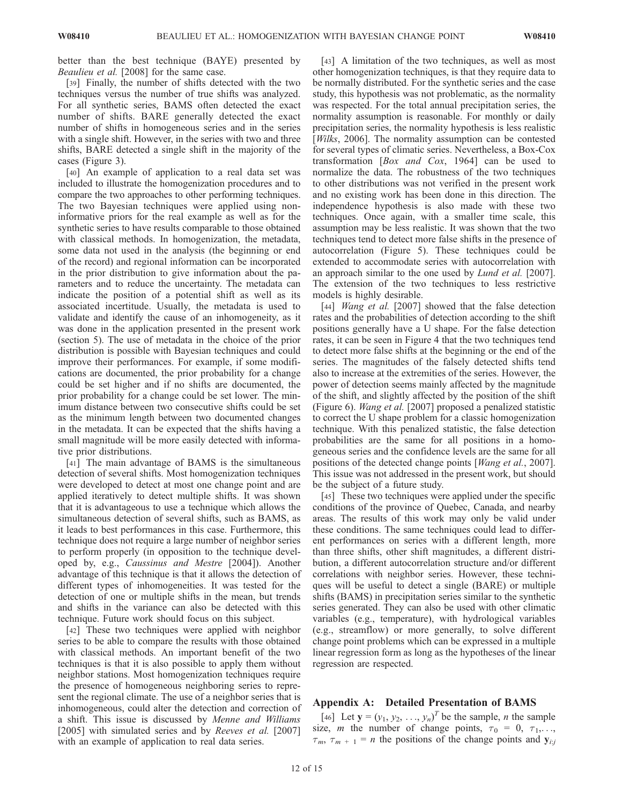better than the best technique (BAYE) presented by Beaulieu et al. [2008] for the same case.

[39] Finally, the number of shifts detected with the two techniques versus the number of true shifts was analyzed. For all synthetic series, BAMS often detected the exact number of shifts. BARE generally detected the exact number of shifts in homogeneous series and in the series with a single shift. However, in the series with two and three shifts, BARE detected a single shift in the majority of the cases (Figure 3).

[40] An example of application to a real data set was included to illustrate the homogenization procedures and to compare the two approaches to other performing techniques. The two Bayesian techniques were applied using noninformative priors for the real example as well as for the synthetic series to have results comparable to those obtained with classical methods. In homogenization, the metadata, some data not used in the analysis (the beginning or end of the record) and regional information can be incorporated in the prior distribution to give information about the parameters and to reduce the uncertainty. The metadata can indicate the position of a potential shift as well as its associated incertitude. Usually, the metadata is used to validate and identify the cause of an inhomogeneity, as it was done in the application presented in the present work (section 5). The use of metadata in the choice of the prior distribution is possible with Bayesian techniques and could improve their performances. For example, if some modifications are documented, the prior probability for a change could be set higher and if no shifts are documented, the prior probability for a change could be set lower. The minimum distance between two consecutive shifts could be set as the minimum length between two documented changes in the metadata. It can be expected that the shifts having a small magnitude will be more easily detected with informative prior distributions.

[41] The main advantage of BAMS is the simultaneous detection of several shifts. Most homogenization techniques were developed to detect at most one change point and are applied iteratively to detect multiple shifts. It was shown that it is advantageous to use a technique which allows the simultaneous detection of several shifts, such as BAMS, as it leads to best performances in this case. Furthermore, this technique does not require a large number of neighbor series to perform properly (in opposition to the technique developed by, e.g., Caussinus and Mestre [2004]). Another advantage of this technique is that it allows the detection of different types of inhomogeneities. It was tested for the detection of one or multiple shifts in the mean, but trends and shifts in the variance can also be detected with this technique. Future work should focus on this subject.

[42] These two techniques were applied with neighbor series to be able to compare the results with those obtained with classical methods. An important benefit of the two techniques is that it is also possible to apply them without neighbor stations. Most homogenization techniques require the presence of homogeneous neighboring series to represent the regional climate. The use of a neighbor series that is inhomogeneous, could alter the detection and correction of a shift. This issue is discussed by Menne and Williams [2005] with simulated series and by *Reeves et al.* [2007] with an example of application to real data series.

[43] A limitation of the two techniques, as well as most other homogenization techniques, is that they require data to be normally distributed. For the synthetic series and the case study, this hypothesis was not problematic, as the normality was respected. For the total annual precipitation series, the normality assumption is reasonable. For monthly or daily precipitation series, the normality hypothesis is less realistic [*Wilks*, 2006]. The normality assumption can be contested for several types of climatic series. Nevertheless, a Box-Cox transformation  $[Box \ and \ Cox, 1964]$  can be used to normalize the data. The robustness of the two techniques to other distributions was not verified in the present work and no existing work has been done in this direction. The independence hypothesis is also made with these two techniques. Once again, with a smaller time scale, this assumption may be less realistic. It was shown that the two techniques tend to detect more false shifts in the presence of autocorrelation (Figure 5). These techniques could be extended to accommodate series with autocorrelation with an approach similar to the one used by *Lund et al.* [2007]. The extension of the two techniques to less restrictive models is highly desirable.

[44] *Wang et al.* [2007] showed that the false detection rates and the probabilities of detection according to the shift positions generally have a U shape. For the false detection rates, it can be seen in Figure 4 that the two techniques tend to detect more false shifts at the beginning or the end of the series. The magnitudes of the falsely detected shifts tend also to increase at the extremities of the series. However, the power of detection seems mainly affected by the magnitude of the shift, and slightly affected by the position of the shift (Figure 6). Wang et al. [2007] proposed a penalized statistic to correct the U shape problem for a classic homogenization technique. With this penalized statistic, the false detection probabilities are the same for all positions in a homogeneous series and the confidence levels are the same for all positions of the detected change points [Wang et al., 2007]. This issue was not addressed in the present work, but should be the subject of a future study.

[45] These two techniques were applied under the specific conditions of the province of Quebec, Canada, and nearby areas. The results of this work may only be valid under these conditions. The same techniques could lead to different performances on series with a different length, more than three shifts, other shift magnitudes, a different distribution, a different autocorrelation structure and/or different correlations with neighbor series. However, these techniques will be useful to detect a single (BARE) or multiple shifts (BAMS) in precipitation series similar to the synthetic series generated. They can also be used with other climatic variables (e.g., temperature), with hydrological variables (e.g., streamflow) or more generally, to solve different change point problems which can be expressed in a multiple linear regression form as long as the hypotheses of the linear regression are respected.

# Appendix A: Detailed Presentation of BAMS

[46] Let  $\mathbf{y} = (y_1, y_2, \dots, y_n)^T$  be the sample, *n* the sample size, *m* the number of change points,  $\tau_0 = 0, \tau_1, \ldots,$  $\tau_m$ ,  $\tau_{m+1}$  = n the positions of the change points and  $y_{i:i}$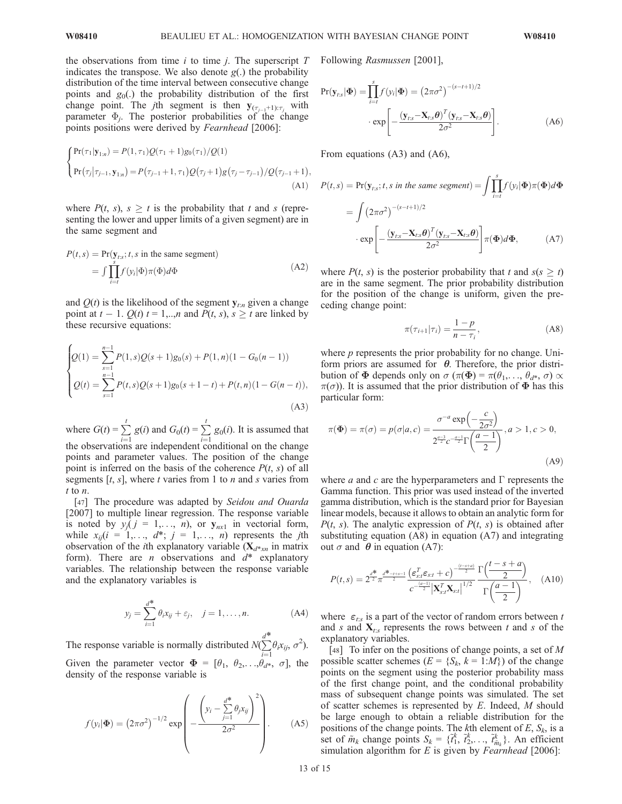the observations from time  $i$  to time  $j$ . The superscript  $T$ indicates the transpose. We also denote  $g(.)$  the probability distribution of the time interval between consecutive change points and  $g_0(.)$  the probability distribution of the first change point. The *j*th segment is then  $y_{(\tau_{i-1}+1):\tau_i}$  with parameter  $\Phi_i$ . The posterior probabilities of the change points positions were derived by Fearnhead [2006]:

$$
\begin{cases}\n\Pr(\tau_1|\mathbf{y}_{1:n}) = P(1,\tau_1)Q(\tau_1+1)g_0(\tau_1)/Q(1) \\
\Pr(\tau_j|\tau_{j-1},\mathbf{y}_{1:n}) = P(\tau_{j-1}+1,\tau_1)Q(\tau_j+1)g(\tau_j-\tau_{j-1})/Q(\tau_{j-1}+1),\n\end{cases} (A1)
$$

where  $P(t, s)$ ,  $s \geq t$  is the probability that t and s (representing the lower and upper limits of a given segment) are in the same segment and

$$
P(t,s) = \Pr(\mathbf{y}_{t:s}; t, s \text{ in the same segment})
$$
  
= 
$$
\int \prod_{i=t}^{s} f(y_i | \Phi) \pi(\Phi) d\Phi
$$
 (A2)

and  $Q(t)$  is the likelihood of the segment  $y_{t:n}$  given a change point at  $t - 1$ .  $Q(t)$   $t = 1,...,n$  and  $P(t, s)$ ,  $s \geq t$  are linked by these recursive equations:

$$
\begin{cases}\nQ(1) = \sum_{s=1}^{n-1} P(1,s)Q(s+1)g_0(s) + P(1,n)(1 - G_0(n-1)) \\
Q(t) = \sum_{s=1}^{n-1} P(t,s)Q(s+1)g_0(s+1-t) + P(t,n)(1 - G(n-t)),\n\end{cases} (A3)
$$

where  $G(t) = \sum_{r=1}^{t}$  $\frac{i=1}{1}$  $g(i)$  and  $G_0(t) = \sum_{i=1}^{t}$  $\frac{i-1}{2}$  $g_0(i)$ . It is assumed that the observations are independent conditional on the change points and parameter values. The position of the change point is inferred on the basis of the coherence  $P(t, s)$  of all segments  $[t, s]$ , where t varies from 1 to n and s varies from t to n.

[47] The procedure was adapted by Seidou and Ouarda [2007] to multiple linear regression. The response variable is noted by  $y_j$  ( $j = 1, \ldots, n$ ), or  $y_{nx1}$  in vectorial form, while  $x_{ij}(i = 1, \ldots, d^*; j = 1, \ldots, n)$  represents the jth observation of the *i*th explanatory variable  $(X_{d^*x_n}$  in matrix form). There are *n* observations and  $d^*$  explanatory variables. The relationship between the response variable and the explanatory variables is

$$
y_j = \sum_{i=1}^{d^*} \theta_i x_{ij} + \varepsilon_j, \quad j = 1, ..., n.
$$
 (A4)

The response variable is normally distributed  $N(\sum)$  $\sum^{d^*} \theta_i x_{ij}, \sigma^2$ ). Given the parameter vector  $\boldsymbol{\Phi} = [\theta_1, \ \theta_2, \dots, \theta_{d^*}, \ \sigma]$ , the

density of the response variable is

$$
f(y_i|\mathbf{\Phi}) = (2\pi\sigma^2)^{-1/2} \exp\left(-\frac{\left(y_i - \sum_{j=1}^{d^*} \theta_j x_{ij}\right)^2}{2\sigma^2}\right).
$$
 (A5)

Following Rasmussen [2001],

$$
Pr(\mathbf{y}_{t:s}|\boldsymbol{\Phi}) = \prod_{i=t}^{s} f(y_i|\boldsymbol{\Phi}) = (2\pi\sigma^2)^{-(s-t+1)/2}
$$

$$
\cdot \exp\left[-\frac{(\mathbf{y}_{t:s} - \mathbf{X}_{t:s}\boldsymbol{\theta})^T(\mathbf{y}_{t:s} - \mathbf{X}_{t:s}\boldsymbol{\theta})}{2\sigma^2}\right].
$$
 (A6)

From equations (A3) and (A6),

$$
P(t,s) = \Pr(\mathbf{y}_{ts}; t, s \text{ in the same segment}) = \int \prod_{i=t}^{s} f(y_i | \mathbf{\Phi}) \pi(\mathbf{\Phi}) d\mathbf{\Phi}
$$

$$
= \int (2\pi\sigma^2)^{-(s-t+1)/2}
$$

$$
\cdot \exp \left[ -\frac{(\mathbf{y}_{ts} - \mathbf{X}_{ts}\boldsymbol{\theta})^T (\mathbf{y}_{ts} - \mathbf{X}_{ts}\boldsymbol{\theta})}{2\sigma^2} \right] \pi(\mathbf{\Phi}) d\mathbf{\Phi}, \tag{A7}
$$

where  $P(t, s)$  is the posterior probability that t and  $s(s \geq t)$ are in the same segment. The prior probability distribution for the position of the change is uniform, given the preceding change point:

$$
\pi(\tau_{i+1}|\tau_i) = \frac{1-p}{n-\tau_i},\tag{A8}
$$

where  $p$  represents the prior probability for no change. Uniform priors are assumed for  $\theta$ . Therefore, the prior distribution of  $\Phi$  depends only on  $\sigma$  ( $\pi(\Phi) = \pi(\theta_1, \ldots, \theta_{d^*}, \sigma) \propto$  $\pi(\sigma)$ ). It is assumed that the prior distribution of  $\Phi$  has this particular form:

$$
\pi(\Phi) = \pi(\sigma) = p(\sigma|a,c) = \frac{\sigma^{-a} \exp\left(-\frac{c}{2\sigma^2}\right)}{2^{\frac{a-3}{2}}c^{-\frac{a-1}{2}}\Gamma\left(\frac{a-1}{2}\right)}, a > 1, c > 0,
$$
\n(A9)

where *a* and *c* are the hyperparameters and  $\Gamma$  represents the Gamma function. This prior was used instead of the inverted gamma distribution, which is the standard prior for Bayesian linear models, because it allows to obtain an analytic form for  $P(t, s)$ . The analytic expression of  $P(t, s)$  is obtained after substituting equation (A8) in equation (A7) and integrating out  $\sigma$  and  $\theta$  in equation (A7):

$$
P(t,s) = 2^{\frac{d^*}{2}} \pi^{\frac{d^* - t + s - 1}{2}} \frac{\left(\varepsilon_{s:t}^T \varepsilon_{s:t} + c\right)^{-\frac{(t - s + a)}{2}} \Gamma\left(\frac{t - s + a}{2}\right)}{c^{-\frac{(a - 1)}{2}} \left|\mathbf{X}_{s:t}^T \mathbf{X}_{s:t}\right|^{1/2}} \frac{\Gamma\left(\frac{t - s + a}{2}\right)}{\Gamma\left(\frac{a - 1}{2}\right)}, \quad \text{(A10)}
$$

where  $\varepsilon_{t:s}$  is a part of the vector of random errors between t and s and  $X_{t:s}$  represents the rows between t and s of the explanatory variables.

[48] To infer on the positions of change points, a set of M possible scatter schemes ( $E = \{S_k, k = 1 : M\}$ ) of the change points on the segment using the posterior probability mass of the first change point, and the conditional probability mass of subsequent change points was simulated. The set of scatter schemes is represented by  $E$ . Indeed,  $M$  should be large enough to obtain a reliable distribution for the positions of the change points. The kth element of  $E$ ,  $S_k$ , is a set of  $\tilde{m}_k$  change points  $S_k = \{\tilde{t}_1^k, \tilde{t}_2^k, \dots, \tilde{t}_{\tilde{m}_k}^k\}$ . An efficient simulation algorithm for  $E$  is given by Fearnhead [2006]: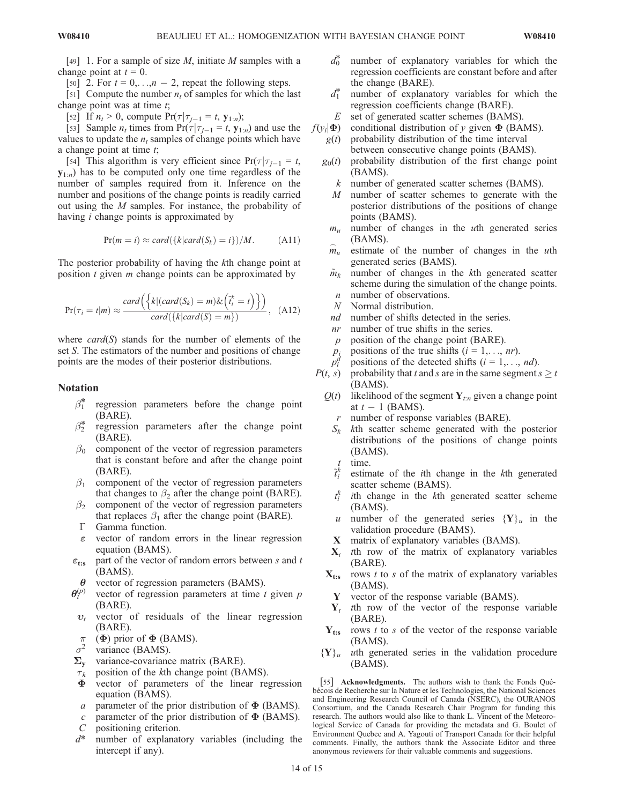[49] 1. For a sample of size  $M$ , initiate  $M$  samples with a change point at  $t = 0$ .

[50] 2. For  $t = 0, \ldots, n - 2$ , repeat the following steps.

[51] Compute the number  $n_t$  of samples for which the last change point was at time  $t$ ;

[52] If  $n_t > 0$ , compute  $Pr(\tau | \tau_{i-1} = t, y_{1:n});$ 

[53] Sample  $n_t$  times from  $Pr(\tau|\tau_{j-1} = t, y_{1:n})$  and use the values to update the  $n_t$  samples of change points which have a change point at time  $t$ ;

[54] This algorithm is very efficient since  $Pr(\tau|\tau_{i-1} = t$ ,  $y_{1:n}$ ) has to be computed only one time regardless of the number of samples required from it. Inference on the number and positions of the change points is readily carried out using the M samples. For instance, the probability of having i change points is approximated by

$$
Pr(m = i) \approx card({k|card(S_k) = i})/M.
$$
 (A11)

The posterior probability of having the kth change point at position  $t$  given  $m$  change points can be approximated by

$$
\Pr(\tau_i = t | m) \approx \frac{card(\{k | (card(S_k) = m) \& (\tilde{t}_i^k = t) \})}{card(\{k | card(S) = m \})}, \quad (A12)
$$

where  $card(S)$  stands for the number of elements of the set S. The estimators of the number and positions of change points are the modes of their posterior distributions.

## Notation

- $\beta_1^*$  regression parameters before the change point (BARE).
- $\beta_2^*$  regression parameters after the change point (BARE).
- $\beta_0$  component of the vector of regression parameters that is constant before and after the change point (BARE).
- $\beta_1$  component of the vector of regression parameters that changes to  $\beta_2$  after the change point (BARE).
- $\beta_2$  component of the vector of regression parameters that replaces  $\beta_1$  after the change point (BARE).
- $\Gamma$  Gamma function.
- $\epsilon$  vector of random errors in the linear regression equation (BAMS).
- $\varepsilon_{\text{t:s}}$  part of the vector of random errors between s and t (BAMS).
- $\theta$  vector of regression parameters (BAMS).
- $\theta_{t}^{(p)}$ vector of regression parameters at time  $t$  given  $p$ (BARE).
- $v_t$  vector of residuals of the linear regression (BARE).
- $\pi$  ( $\Phi$ ) prior of  $\Phi$  (BAMS).<br>  $\sigma^2$  variance (BAMS)
- variance (BAMS).
- $\Sigma_{\rm v}$  variance-covariance matrix (BARE).
- $\tau_k$  position of the kth change point (BAMS).<br>  $\Phi$  vector of parameters of the linear res
- vector of parameters of the linear regression equation (BAMS).
- a parameter of the prior distribution of  $\Phi$  (BAMS).
- c parameter of the prior distribution of  $\Phi$  (BAMS).
- C positioning criterion.
- $d^*$  number of explanatory variables (including the intercept if any).
- $d_0^*$ number of explanatory variables for which the regression coefficients are constant before and after the change (BARE).
- $d_1^*$ number of explanatory variables for which the regression coefficients change (BARE).
- $E$  set of generated scatter schemes (BAMS).
- $f(y_i|\Phi)$  conditional distribution of y given  $\Phi$  (BAMS).<br>  $g(t)$  probability distribution of the time interval
	- probability distribution of the time interval between consecutive change points (BAMS).
	- $g_0(t)$  probability distribution of the first change point (BAMS).
		- $k$  number of generated scatter schemes (BAMS).
		- M number of scatter schemes to generate with the posterior distributions of the positions of change points (BAMS).
		- $m<sub>u</sub>$  number of changes in the *uth* generated series (BAMS).
		- $\stackrel{\frown}{m}$ estimate of the number of changes in the  $u$ th generated series (BAMS).
		- $\tilde{m}_k$  number of changes in the kth generated scatter scheme during the simulation of the change points. n number of observations.
		- N Normal distribution.
		- nd number of shifts detected in the series.
		- nr number of true shifts in the series.
		- $p$  position of the change point (BARE).
		- $p_i$  positions of the true shifts  $(i = 1, \ldots, nr)$ .
		- $p_i^d$ positions of the detected shifts ( $i = 1, \ldots, nd$ ).
- $P(t, s)$  probability that t and s are in the same segment  $s \ge t$ (BAMS).
	- $Q(t)$  likelihood of the segment Y<sub>t:n</sub> given a change point at  $t - 1$  (BAMS).
		- r number of response variables (BARE).
		- $S_k$  kth scatter scheme generated with the posterior distributions of the positions of change points (BAMS).
		-
		- t time.<br> $\tilde{t}_i^k$  estimate of the *i*th change in the *k*th generated scatter scheme (BAMS).
		- $t_i^k$  $i$ th change in the  $k$ th generated scatter scheme (BAMS).
		- u number of the generated series  ${Y}_u$  in the validation procedure (BAMS).
		- X matrix of explanatory variables (BAMS).
		- $X_t$  th row of the matrix of explanatory variables (BARE).
	- $X_{t:s}$  rows t to s of the matrix of explanatory variables (BAMS).
		- Y vector of the response variable (BAMS).
	- $Y_t$  th row of the vector of the response variable (BARE).
	- $Y_{t:s}$  rows t to s of the vector of the response variable (BAMS).
- ${Y}_u$  uth generated series in the validation procedure (BAMS).

[55] Acknowledgments. The authors wish to thank the Fonds Québe´cois de Recherche sur la Nature et les Technologies, the National Sciences and Engineering Research Council of Canada (NSERC), the OURANOS Consortium, and the Canada Research Chair Program for funding this research. The authors would also like to thank L. Vincent of the Meteorological Service of Canada for providing the metadata and G. Boulet of Environment Quebec and A. Yagouti of Transport Canada for their helpful comments. Finally, the authors thank the Associate Editor and three anonymous reviewers for their valuable comments and suggestions.